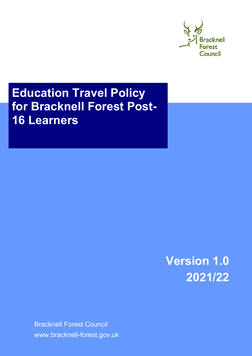

# **Education Travel Policy for Bracknell Forest Post-16 Learners**

**Version 1.0 2021/22**

Bracknell Forest Council www.bracknell-forest.gov.uk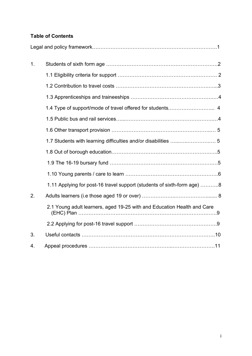# **Table of Contents**

| 1. |                                                                         |
|----|-------------------------------------------------------------------------|
|    |                                                                         |
|    |                                                                         |
|    |                                                                         |
|    |                                                                         |
|    |                                                                         |
|    |                                                                         |
|    |                                                                         |
|    |                                                                         |
|    |                                                                         |
|    |                                                                         |
|    | 1.11 Applying for post-16 travel support (students of sixth-form age) 8 |
| 2. |                                                                         |
|    | 2.1 Young adult learners, aged 19-25 with and Education Health and Care |
|    |                                                                         |
| 3. |                                                                         |
| 4. |                                                                         |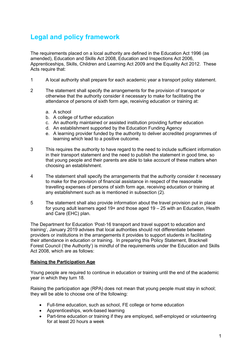# **Legal and policy framework**

The requirements placed on a local authority are defined in the Education Act 1996 (as amended), Education and Skills Act 2008, Education and Inspections Act 2006, Apprenticeships, Skills, Children and Learning Act 2009 and the Equality Act 2012. These Acts require that:

- 1 A local authority shall prepare for each academic year a transport policy statement.
- 2 The statement shall specify the arrangements for the provision of transport or otherwise that the authority consider it necessary to make for facilitating the attendance of persons of sixth form age, receiving education or training at:
	- a. A school
	- b. A college of further education
	- c. An authority maintained or assisted institution providing further education
	- d. An establishment supported by the Education Funding Agency
	- e. A learning provider funded by the authority to deliver accredited programmes of learning which lead to a positive outcome.
- 3 This requires the authority to have regard to the need to include sufficient information in their transport statement and the need to publish the statement in good time, so that young people and their parents are able to take account of these matters when choosing an establishment.
- 4 The statement shall specify the arrangements that the authority consider it necessary to make for the provision of financial assistance in respect of the reasonable travelling expenses of persons of sixth form age, receiving education or training at any establishment such as is mentioned in subsection (2).
- 5 The statement shall also provide information about the travel provision put in place for young adult learners aged 19+ and those aged 19 – 25 with an Education, Health and Care (EHC) plan.

The Department for Education 'Post-16 transport and travel support to education and training', January 2019 advises that local authorities should not differentiate between providers or institutions in the arrangements it provides to support students in facilitating their attendance in education or training. In preparing this Policy Statement, Bracknell Forest Council ('the Authority') is mindful of the requirements under the Education and Skills Act 2008, which are as follows:

#### **Raising the Participation Age**

Young people are required to continue in education or training until the end of the academic year in which they turn 18.

Raising the participation age (RPA) does not mean that young people must stay in school; they will be able to choose one of the following:

- Full-time education, such as school, FE college or home education
- Apprenticeships, work-based learning
- Part-time education or training if they are employed, self-employed or volunteering for at least 20 hours a week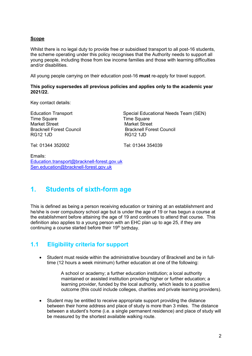#### **Scope**

Whilst there is no legal duty to provide free or subsidised transport to all post-16 students, the scheme operating under this policy recognises that the Authority needs to support all young people, including those from low income families and those with learning difficulties and/or disabilities.

All young people carrying on their education post-16 **must** re-apply for travel support.

**This policy supersedes all previous policies and applies only to the academic year 2021/22.** 

Key contact details:

Time Square<br>
Market Street<br>
Market Street Bracknell Forest Council<br>
RG12 1.ID<br>
RG12 1.ID **RG12 1JD** 

Education Transport Special Educational Needs Team (SEN) Market Street<br>Bracknell Forest Council

Tel: 01344 352002 Tel: 01344 354039

Emails: [Education.transport@bracknell-forest.gov.uk](mailto:Education.transport@bracknell-forest.gov.uk) [Sen.education@bracknell-forest.gov.uk](mailto:Sen.education@bracknell-forest.gov.uk)

# **1. Students of sixth-form age**

This is defined as being a person receiving education or training at an establishment and he/she is over compulsory school age but is under the age of 19 or has begun a course at the establishment before attaining the age of 19 and continues to attend that course. This definition also applies to a young person with an EHC plan up to age 25, if they are continuing a course started before their  $19<sup>th</sup>$  birthday.

# **1.1 Eligibility criteria for support**

• Student must reside within the administrative boundary of Bracknell and be in fulltime (12 hours a week minimum) further education at one of the following:

> A school or academy; a further education institution; a local authority maintained or assisted institution providing higher or further education; a learning provider, funded by the local authority, which leads to a positive outcome (this could include colleges, charities and private learning providers).

• Student may be entitled to receive appropriate support providing the distance between their home address and place of study is more than 3 miles. The distance between a student's home (i.e. a single permanent residence) and place of study will be measured by the shortest available walking route.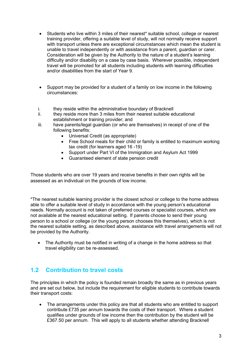- Students who live within 3 miles of their nearest\* suitable school, college or nearest training provider, offering a suitable level of study, will not normally receive support with transport unless there are exceptional circumstances which mean the student is unable to travel independently or with assistance from a parent, guardian or carer. Consideration will be given by the Authority to the nature of a student's learning difficulty and/or disability on a case by case basis. Wherever possible, independent travel will be promoted for all students including students with learning difficulties and/or disabilities from the start of Year 9.
- Support may be provided for a student of a family on low income in the following circumstances:
- i. they reside within the administrative boundary of Bracknell<br>ii they reside more than 3 miles from their nearest suitable equal
- they reside more than 3 miles from their nearest suitable educational establishment or training provider; and
- iii. have parents/legal guardian (or who are themselves) in receipt of one of the following benefits:
	- Universal Credit (as appropriate)
	- Free School meals for their child or family is entitled to maximum working tax credit (for learners aged 16 -19)
	- Support under Part VI of the Immigration and Asylum Act 1999
	- Guaranteed element of state pension credit

Those students who are over 19 years and receive benefits in their own rights will be assessed as an individual on the grounds of low income.

\*The nearest suitable learning provider is the closest school or college to the home address able to offer a suitable level of study in accordance with the young person's educational needs. Normally account is not taken of preferred courses or specialist courses, which are not available at the nearest educational setting.If parents choose to send their young person to a school or college (or the young person chooses this themselves), which is not the nearest suitable setting, as described above, assistance with travel arrangements will not be provided by the Authority.

• The Authority must be notified in writing of a change in the home address so that travel eligibility can be re-assessed.

# **1.2 Contribution to travel costs**

The principles in which the policy is founded remain broadly the same as in previous years and are set out below, but include the requirement for eligible students to contribute towards their transport costs:

• The arrangements under this policy are that all students who are entitled to support contribute £735 per annum towards the costs of their transport. Where a student qualifies under grounds of low income then the contribution by the student will be £367.50 per annum. This will apply to all students whether attending Bracknell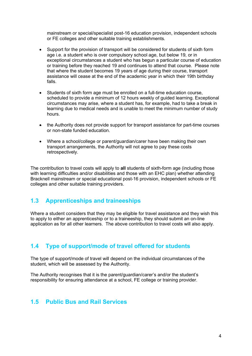mainstream or special/specialist post-16 education provision, independent schools or FE colleges and other suitable training establishments.

- Support for the provision of transport will be considered for students of sixth form age i.e. a student who is over compulsory school age, but below 19, or in exceptional circumstances a student who has begun a particular course of education or training before they reached 19 and continues to attend that course. Please note that where the student becomes 19 years of age during their course, transport assistance will cease at the end of the academic year in which their 19th birthday falls.
- Students of sixth form age must be enrolled on a full-time education course, scheduled to provide a minimum of 12 hours weekly of guided learning. Exceptional circumstances may arise, where a student has, for example, had to take a break in learning due to medical needs and is unable to meet the minimum number of study hours.
- the Authority does not provide support for transport assistance for part-time courses or non-state funded education.
- Where a school/college or parent/guardian/carer have been making their own transport arrangements, the Authority will not agree to pay these costs retrospectively.

The contribution to travel costs will apply to **all** students of sixth-form age (including those with learning difficulties and/or disabilities and those with an EHC plan) whether attending Bracknell mainstream or special educational post-16 provision, independent schools or FE colleges and other suitable training providers.

# **1.3 Apprenticeships and traineeships**

Where a student considers that they may be eligible for travel assistance and they wish this to apply to either an apprenticeship or to a traineeship, they should submit an on-line application as for all other learners. The above contribution to travel costs will also apply.

### **1.4 Type of support/mode of travel offered for students**

The type of support/mode of travel will depend on the individual circumstances of the student, which will be assessed by the Authority.

The Authority recognises that it is the parent/guardian/carer's and/or the student's responsibility for ensuring attendance at a school, FE college or training provider.

### **1.5 Public Bus and Rail Services**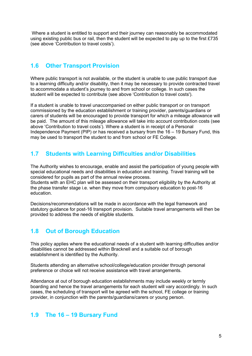Where a student is entitled to support and their journey can reasonably be accommodated using existing public bus or rail, then the student will be expected to pay up to the first  $£735$ (see above 'Contribution to travel costs').

### **1.6 Other Transport Provision**

Where public transport is not available, or the student is unable to use public transport due to a learning difficulty and/or disability, then it may be necessary to provide contracted travel to accommodate a student's journey to and from school or college. In such cases the student will be expected to contribute (see above 'Contribution to travel costs').

If a student is unable to travel unaccompanied on either public transport or on transport commissioned by the education establishment or training provider, parents/guardians or carers of students will be encouraged to provide transport for which a mileage allowance will be paid. The amount of this mileage allowance will take into account contribution costs (see above 'Contribution to travel costs'). Where a student is in receipt of a Personal Independence Payment (PIP) or has received a bursary from the 16 – 19 Bursary Fund, this may be used to transport the student to and from school or FE College.

# **1.7 Students with Learning Difficulties and/or Disabilities**

The Authority wishes to encourage, enable and assist the participation of young people with special educational needs and disabilities in education and training. Travel training will be considered for pupils as part of the annual review process.

Students with an EHC plan will be assessed on their transport eligibility by the Authority at the phase transfer stage i.e. when they move from compulsory education to post-16 education.

Decisions/recommendations will be made in accordance with the legal framework and statutory guidance for post-16 transport provision. Suitable travel arrangements will then be provided to address the needs of eligible students.

# **1.8 Out of Borough Education**

This policy applies where the educational needs of a student with learning difficulties and/or disabilities cannot be addressed within Bracknell and a suitable out of borough establishment is identified by the Authority.

Students attending an alternative school/college/education provider through personal preference or choice will not receive assistance with travel arrangements.

Attendance at out of borough education establishments may include weekly or termly boarding and hence the travel arrangements for each student will vary accordingly. In such cases, the scheduling of transport will be agreed with the school, FE college or training provider, in conjunction with the parents/guardians/carers or young person.

### **1.9 The 16 – 19 Bursary Fund**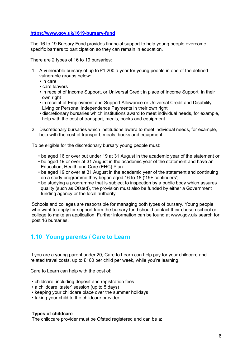#### **<https://www.gov.uk/1619-bursary-fund>**

The 16 to 19 Bursary Fund provides financial support to help young people overcome specific barriers to participation so they can remain in education.

There are 2 types of 16 to 19 bursaries:

- 1. A vulnerable bursary of up to £1,200 a year for young people in one of the defined vulnerable groups below:
	- in care
	- care leavers
	- in receipt of Income Support, or Universal Credit in place of Income Support, in their own right
	- in receipt of Employment and Support Allowance or Universal Credit and Disability Living or Personal Independence Payments in their own right
	- discretionary bursaries which institutions award to meet individual needs, for example, help with the cost of transport, meals, books and equipment
- 2. Discretionary bursaries which institutions award to meet individual needs, for example, help with the cost of transport, meals, books and equipment

To be eligible for the discretionary bursary young people must:

- be aged 16 or over but under 19 at 31 August in the academic year of the statement or
- be aged 19 or over at 31 August in the academic year of the statement and have an Education, Health and Care (EHC) Plan
- be aged 19 or over at 31 August in the academic year of the statement and continuing on a study programme they began aged 16 to 18 ('19+ continuers')
- be studying a programme that is subject to inspection by a public body which assures quality (such as Ofsted), the provision must also be funded by either a Government funding agency or the local authority

Schools and colleges are responsible for managing both types of bursary. Young people who want to apply for support from the bursary fund should contact their chosen school or college to make an application. Further information can be found at www.gov.uk/ search for post 16 bursaries.

### **1.10 Young parents / Care to Learn**

If you are a young parent under 20, Care to Learn can help pay for your childcare and related travel costs, up to £160 per child per week, while you're learning.

Care to Learn can help with the cost of:

- childcare, including deposit and registration fees
- a childcare 'taster' session (up to 5 days)
- keeping your childcare place over the summer holidays
- taking your child to the childcare provider

#### **Types of childcare**

The childcare provider must be Ofsted registered and can be a: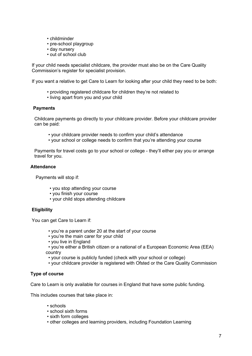- childminder
- pre-school playgroup
- day nursery
- out of school club

If your child needs specialist childcare, the provider must also be on the Care Quality Commission's register for specialist provision.

If you want a relative to get Care to Learn for looking after your child they need to be both:

- providing registered childcare for children they're not related to
- living apart from you and your child

#### **Payments**

 Childcare payments go directly to your childcare provider. Before your childcare provider can be paid:

- your childcare provider needs to confirm your child's attendance
- your school or college needs to confirm that you're attending your course

 Payments for travel costs go to your school or college - they'll either pay you or arrange travel for you.

#### **Attendance**

Payments will stop if:

- you stop attending your course
- you finish your course
- your child stops attending childcare

#### **Eligibility**

You can get Care to Learn if:

- you're a parent under 20 at the start of your course
- you're the main carer for your child
- you live in England
- you're either a British citizen or a national of a European Economic Area (EEA) country
	- your course is publicly funded (check with your school or college)
- your childcare provider is registered with Ofsted or the Care Quality Commission

#### **Type of course**

Care to Learn is only available for courses in England that have some public funding.

This includes courses that take place in:

- schools
- school sixth forms
- sixth form colleges
- other colleges and learning providers, including Foundation Learning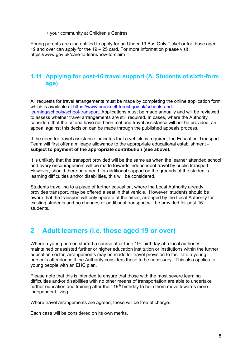• your community at Children's Centres

Young parents are also entitled to apply for an Under 19 Bus Only Ticket or for those aged 19 and over can apply for the 19 – 25 card. For more information please visit https://www.gov.uk/care-to-learn/how-to-claim

## **1.11 Applying for post-16 travel support (A. Students of sixth-form age)**

All requests for travel arrangements must be made by completing the online application form which is available at [https://www.bracknell-forest.gov.uk/schools-and](https://www.bracknell-forest.gov.uk/schools-and-learning/schools/school-transport)[learning/schools/school-transport.](https://www.bracknell-forest.gov.uk/schools-and-learning/schools/school-transport) Applications must be made annually and will be reviewed to assess whether travel arrangements are still required. In cases, where the Authority considers that the criteria have not been met and travel assistance will not be provided, an appeal against this decision can be made through the published appeals process.

If the need for travel assistance indicates that a vehicle is required, the Education Transport Team will first offer a mileage allowance to the appropriate educational establishment **subject to payment of the appropriate contribution (see above).** 

It is unlikely that the transport provided will be the same as when the learner attended school and every encouragement will be made towards independent travel by public transport. However, should there be a need for additional support on the grounds of the student's learning difficulties and/or disabilities, this will be considered.

Students travelling to a place of further education, where the Local Authority already provides transport, may be offered a seat in that vehicle. However, students should be aware that the transport will only operate at the times, arranged by the Local Authority for existing students and no changes or additional transport will be provided for post-16 students.

# **2 Adult learners (i.e. those aged 19 or over)**

Where a young person started a course after their  $19<sup>th</sup>$  birthday at a local authority maintained or assisted further or higher education institution or institutions within the further education sector, arrangements may be made for travel provision to facilitate a young person's attendance if the Authority considers these to be necessary. This also applies to young people with an EHC plan.

Please note that this is intended to ensure that those with the most severe learning difficulties and/or disabilities with no other means of transportation are able to undertake further education and training after their  $19<sup>th</sup>$  birthday to help them move towards more independent living.

Where travel arrangements are agreed, these will be free of charge.

Each case will be considered on its own merits.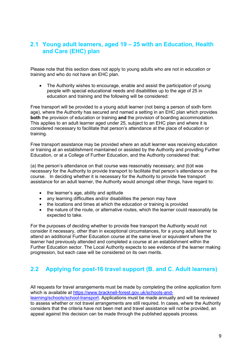# **2.1 Young adult learners, aged 19 – 25 with an Education, Health and Care (EHC) plan**

Please note that this section does not apply to young adults who are not in education or training and who do not have an EHC plan.

• The Authority wishes to encourage, enable and assist the participation of young people with special educational needs and disabilities up to the age of 25 in education and training and the following will be considered:

Free transport will be provided to a young adult learner (not being a person of sixth form age), where the Authority has secured and named a setting in an EHC plan which provides **both** the provision of education or training **and** the provision of boarding accommodation. This applies to an adult learner aged under 25, subject to an EHC plan and where it is considered necessary to facilitate that person's attendance at the place of education or training.

Free transport assistance may be provided where an adult learner was receiving education or training at an establishment maintained or assisted by the Authority and providing Further Education, or at a College of Further Education, and the Authority considered that:

(a) the person's attendance on that course was reasonably necessary; and (b)it was necessary for the Authority to provide transport to facilitate that person's attendance on the course. In deciding whether it is necessary for the Authority to provide free transport assistance for an adult learner, the Authority would amongst other things, have regard to:

- the learner's age, ability and aptitude
- any learning difficulties and/or disabilities the person may have
- the locations and times at which the education or training is provided
- the nature of the route, or alternative routes, which the learner could reasonably be expected to take.

For the purposes of deciding whether to provide free transport the Authority would not consider it necessary, other than in exceptional circumstances, for a young adult learner to attend an additional Further Education course at the same level or equivalent where the learner had previously attended and completed a course at an establishment within the Further Education sector. The Local Authority expects to see evidence of the learner making progression, but each case will be considered on its own merits.

# **2.2 Applying for post-16 travel support (B. and C. Adult learners)**

All requests for travel arrangements must be made by completing the online application form which is available at [https://www.bracknell-forest.gov.uk/schools-and-](https://www.bracknell-forest.gov.uk/schools-and-learning/schools/school-transport)

[learning/schools/school-transport.](https://www.bracknell-forest.gov.uk/schools-and-learning/schools/school-transport) Applications must be made annually and will be reviewed to assess whether or not travel arrangements are still required. In cases, where the Authority considers that the criteria have not been met and travel assistance will not be provided, an appeal against this decision can be made through the published appeals process.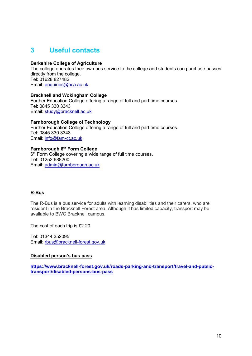# **3 Useful contacts**

#### **Berkshire College of Agriculture**

The college operates their own bus service to the college and students can purchase passes directly from the college. Tel: 01628 827482 Email: [enquiries@bca.ac.uk](mailto:enquiries@bca.ac.uk)

#### **Bracknell and Wokingham College**

Further Education College offering a range of full and part time courses. Tel: 0845 330 3343 Email: [study@bracknell.ac.uk](mailto:study@bracknell.ac.uk)

**Farnborough College of Technology** Further Education College offering a range of full and part time courses. Tel: 0845 330 3343 Email: [info@fam-ct.ac.uk](mailto:info@fam-ct.ac.uk)

#### **Farnborough 6th Form College**

6<sup>th</sup> Form College covering a wide range of full time courses. Tel: 01252 688200 Email: [admin@farnborough.ac.uk](mailto:admin@farnborough.ac.uk)

#### **R-Bus**

The R-Bus is a bus service for adults with learning disabilities and their carers, who are resident in the Bracknell Forest area. Although it has limited capacity, transport may be available to BWC Bracknell campus.

The cost of each trip is £2.20

Tel: 01344 352095 Email: [rbus@bracknell-forest.gov.uk](mailto:rbus@bracknell-forest.gov.uk)

#### **Disabled person's bus pass**

**[https://www.bracknell-forest.gov.uk/roads-parking-and-transport/travel-and-public](https://www.bracknell-forest.gov.uk/roads-parking-and-transport/travel-and-public-transport/disabled-persons-bus-pass)[transport/disabled-persons-bus-pass](https://www.bracknell-forest.gov.uk/roads-parking-and-transport/travel-and-public-transport/disabled-persons-bus-pass)**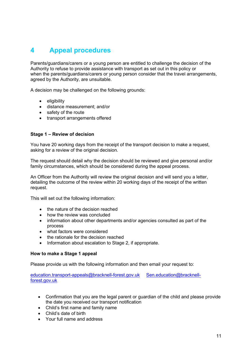# **4 Appeal procedures**

Parents/guardians/carers or a young person are entitled to challenge the decision of the Authority to refuse to provide assistance with transport as set out in this policy or when the parents/guardians/carers or young person consider that the travel arrangements, agreed by the Authority, are unsuitable.

A decision may be challenged on the following grounds:

- eligibility
- distance measurement; and/or
- safety of the route
- transport arrangements offered

#### **Stage 1 – Review of decision**

You have 20 working days from the receipt of the transport decision to make a request, asking for a review of the original decision.

The request should detail why the decision should be reviewed and give personal and/or family circumstances, which should be considered during the appeal process.

An Officer from the Authority will review the original decision and will send you a letter, detailing the outcome of the review within 20 working days of the receipt of the written request.

This will set out the following information:

- the nature of the decision reached
- how the review was concluded
- information about other departments and/or agencies consulted as part of the process
- what factors were considered
- the rationale for the decision reached
- Information about escalation to Stage 2, if appropriate.

#### **How to make a Stage 1 appeal**

Please provide us with the following information and then email your request to:

[education.transport-appeals@bracknell-forest.gov.uk](mailto:education.transport-appeals@bracknell-forest.gov.uk) [Sen.education@bracknell](mailto:Sen.education@bracknell-forest.gov.uk)[forest.gov.uk](mailto:Sen.education@bracknell-forest.gov.uk)

- Confirmation that you are the legal parent or guardian of the child and please provide the date you received our transport notification
- Child's first name and family name
- Child's date of birth
- Your full name and address